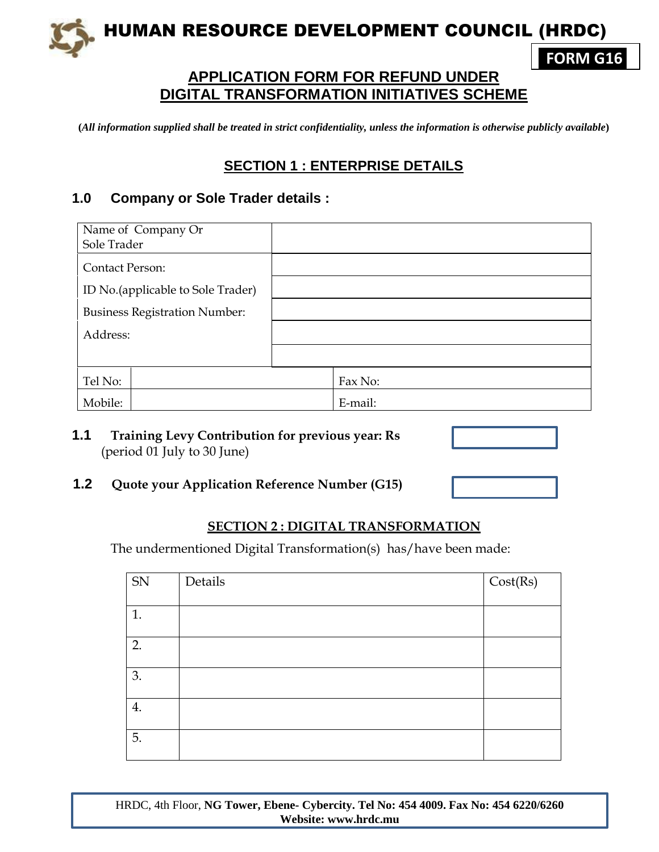HUMAN RESOURCE DEVELOPMENT COUNCIL (HRDC)

# **APPLICATION FORM FOR REFUND UNDER DIGITAL TRANSFORMATION INITIATIVES SCHEME**

**(***All information supplied shall be treated in strict confidentiality, unless the information is otherwise publicly available***)**

### **SECTION 1 : ENTERPRISE DETAILS**

#### **1.0 Company or Sole Trader details :**

| Name of Company Or<br>Sole Trader    |         |
|--------------------------------------|---------|
| <b>Contact Person:</b>               |         |
| ID No. (applicable to Sole Trader)   |         |
| <b>Business Registration Number:</b> |         |
| Address:                             |         |
|                                      |         |
| Tel No:                              | Fax No: |
| Mobile:                              | E-mail: |

**1.1 Training Levy Contribution for previous year: Rs**  (period 01 July to 30 June)

#### **1.2 Quote your Application Reference Number (G15)**

#### **SECTION 2 : DIGITAL TRANSFORMATION**

The undermentioned Digital Transformation(s) has/have been made:

| ${\rm SN}$ | Details | Cost(Rs) |
|------------|---------|----------|
| 1.         |         |          |
| 2.         |         |          |
| 3.         |         |          |
|            |         |          |
| 4.         |         |          |
| 5.         |         |          |

HRDC, 4th Floor, **NG Tower, Ebene- Cybercity. Tel No: 454 4009. Fax No: 454 6220/6260 Website: www.hrdc.mu**



**FORM G16**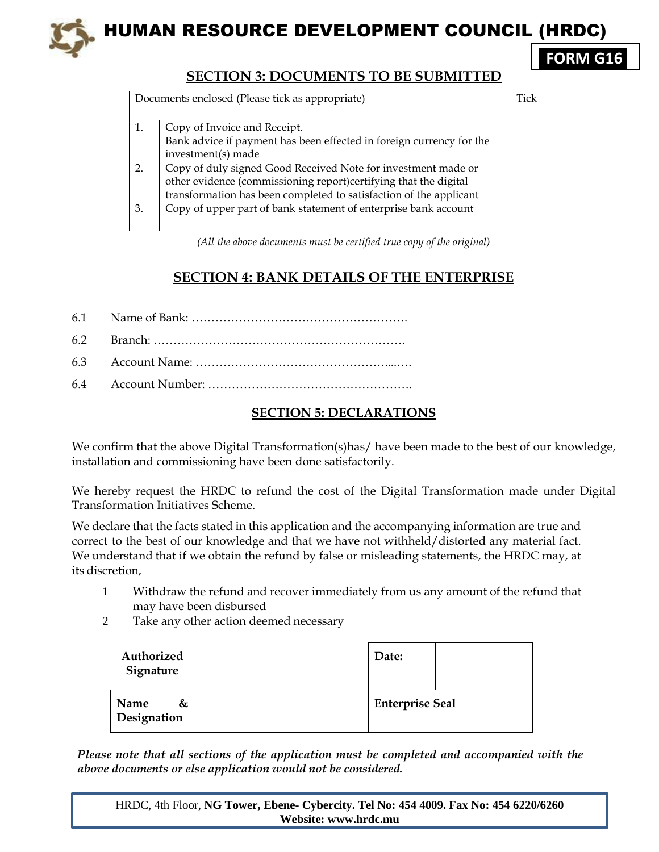

## **SECTION 3: DOCUMENTS TO BE SUBMITTED**

|    | Documents enclosed (Please tick as appropriate)                      | Tick |
|----|----------------------------------------------------------------------|------|
|    |                                                                      |      |
|    | Copy of Invoice and Receipt.                                         |      |
|    | Bank advice if payment has been effected in foreign currency for the |      |
|    | investment(s) made                                                   |      |
| 2. | Copy of duly signed Good Received Note for investment made or        |      |
|    | other evidence (commissioning report)certifying that the digital     |      |
|    | transformation has been completed to satisfaction of the applicant   |      |
| 3. | Copy of upper part of bank statement of enterprise bank account      |      |
|    |                                                                      |      |

*(All the above documents must be certified true copy of the original)*

## **SECTION 4: BANK DETAILS OF THE ENTERPRISE**

| 6.1 |  |
|-----|--|
|     |  |

- 6.2 Branch: ……………………………………………………….
- 6.3 Account Name: …………………………………………....….
- 6.4 Account Number: …………………………………………….

### **SECTION 5: DECLARATIONS**

We confirm that the above Digital Transformation(s)has/have been made to the best of our knowledge, installation and commissioning have been done satisfactorily.

We hereby request the HRDC to refund the cost of the Digital Transformation made under Digital Transformation Initiatives Scheme.

We declare that the facts stated in this application and the accompanying information are true and correct to the best of our knowledge and that we have not withheld/distorted any material fact. We understand that if we obtain the refund by false or misleading statements, the HRDC may, at its discretion,

- 1 Withdraw the refund and recover immediately from us any amount of the refund that may have been disbursed
- 2 Take any other action deemed necessary

| Authorized<br>Signature  | Date:                  |  |
|--------------------------|------------------------|--|
| &<br>Name<br>Designation | <b>Enterprise Seal</b> |  |

*Please note that all sections of the application must be completed and accompanied with the above documents or else application would not be considered.*

HRDC, 4th Floor, **NG Tower, Ebene- Cybercity. Tel No: 454 4009. Fax No: 454 6220/6260 Website: www.hrdc.mu**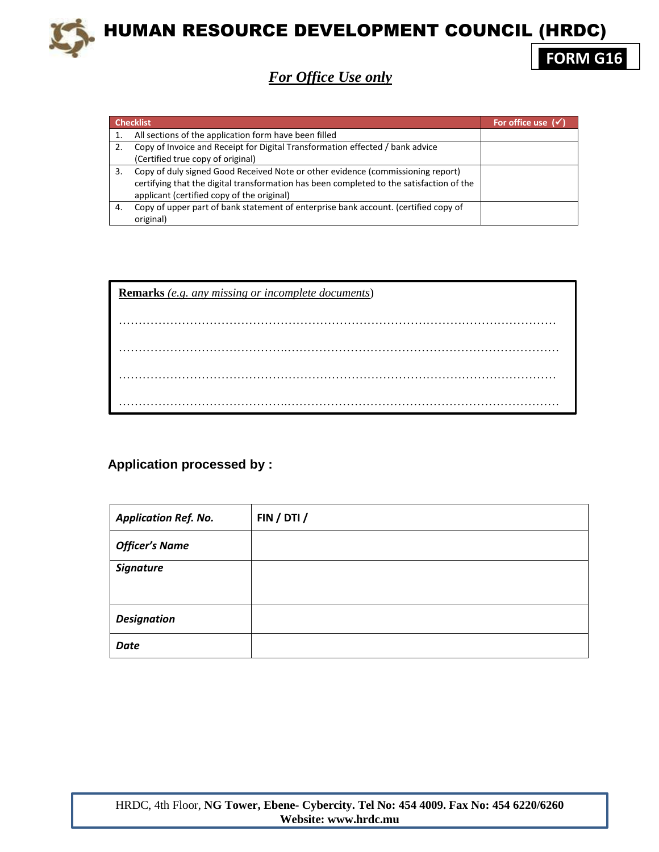

HUMAN RESOURCE DEVELOPMENT COUNCIL (HRDC)

**FORM G16**

*For Office Use only*

| <b>Checklist</b> |                                                                                          | For office use $\sqrt{\sqrt{ }}$ |
|------------------|------------------------------------------------------------------------------------------|----------------------------------|
|                  | All sections of the application form have been filled                                    |                                  |
|                  | Copy of Invoice and Receipt for Digital Transformation effected / bank advice            |                                  |
|                  | (Certified true copy of original)                                                        |                                  |
| 3.               | Copy of duly signed Good Received Note or other evidence (commissioning report)          |                                  |
|                  | certifying that the digital transformation has been completed to the satisfaction of the |                                  |
|                  | applicant (certified copy of the original)                                               |                                  |
| 4.               | Copy of upper part of bank statement of enterprise bank account. (certified copy of      |                                  |
|                  | original)                                                                                |                                  |

| <b>Remarks</b> (e.g. any missing or incomplete documents) |  |  |  |  |
|-----------------------------------------------------------|--|--|--|--|
|                                                           |  |  |  |  |
|                                                           |  |  |  |  |
|                                                           |  |  |  |  |
|                                                           |  |  |  |  |

### **Application processed by :**

| <b>Application Ref. No.</b> | FIN / DTI / |
|-----------------------------|-------------|
| <b>Officer's Name</b>       |             |
| <b>Signature</b>            |             |
|                             |             |
| <b>Designation</b>          |             |
| <b>Date</b>                 |             |